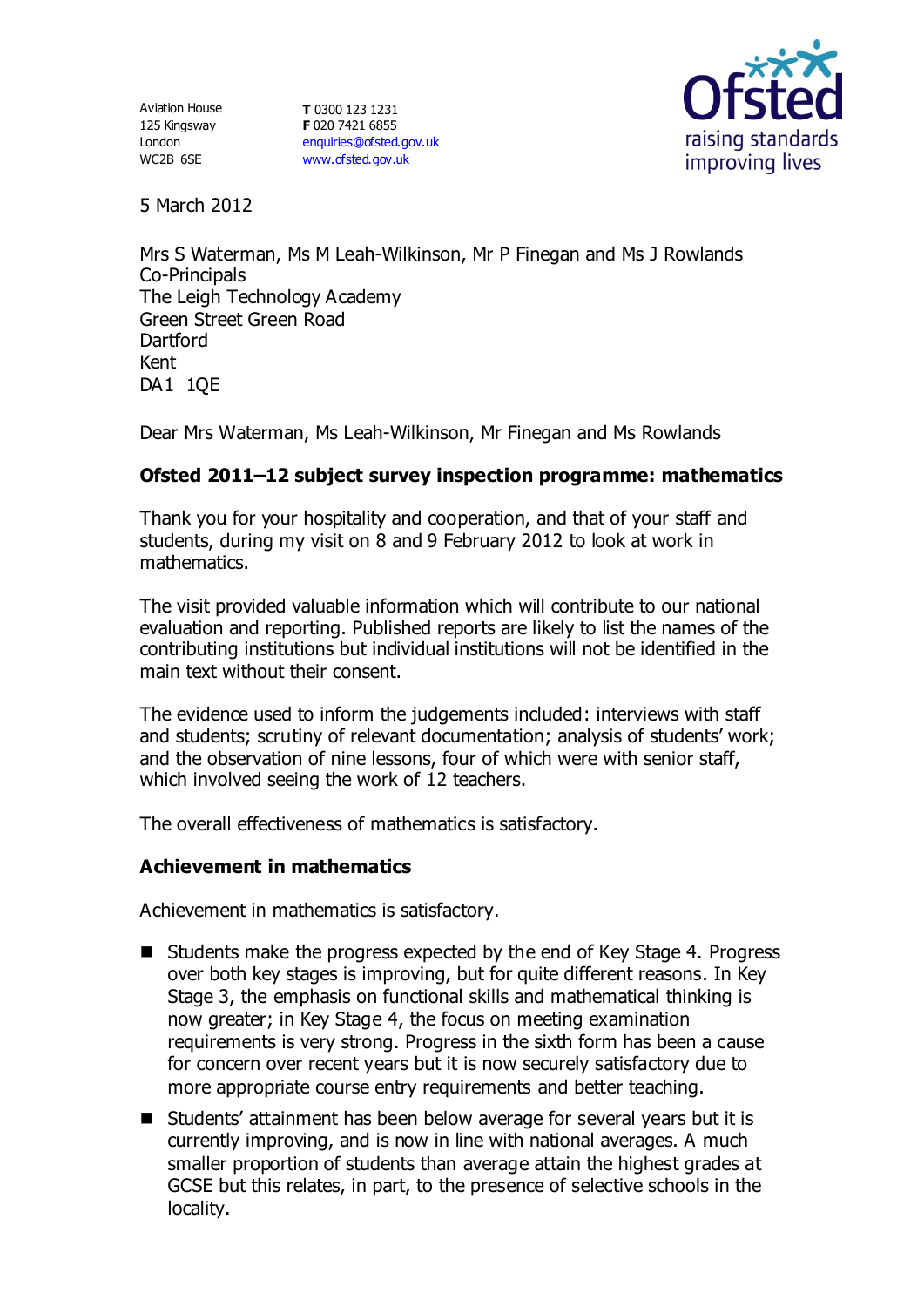Aviation House 125 Kingsway London WC2B 6SE

**T** 0300 123 1231 **F** 020 7421 6855 [enquiries@ofsted.gov.uk](mailto:enquiries@ofsted.gov.uk) [www.ofsted.gov.uk](http://www.ofsted.gov.uk/)



5 March 2012

Mrs S Waterman, Ms M Leah-Wilkinson, Mr P Finegan and Ms J Rowlands Co-Principals The Leigh Technology Academy Green Street Green Road **Dartford** Kent DA1 1QE

Dear Mrs Waterman, Ms Leah-Wilkinson, Mr Finegan and Ms Rowlands

## **Ofsted 2011–12 subject survey inspection programme: mathematics**

Thank you for your hospitality and cooperation, and that of your staff and students, during my visit on 8 and 9 February 2012 to look at work in mathematics.

The visit provided valuable information which will contribute to our national evaluation and reporting. Published reports are likely to list the names of the contributing institutions but individual institutions will not be identified in the main text without their consent.

The evidence used to inform the judgements included: interviews with staff and students; scrutiny of relevant documentation; analysis of students' work; and the observation of nine lessons, four of which were with senior staff, which involved seeing the work of 12 teachers.

The overall effectiveness of mathematics is satisfactory.

### **Achievement in mathematics**

Achievement in mathematics is satisfactory.

- Students make the progress expected by the end of Key Stage 4. Progress over both key stages is improving, but for quite different reasons. In Key Stage 3, the emphasis on functional skills and mathematical thinking is now greater; in Key Stage 4, the focus on meeting examination requirements is very strong. Progress in the sixth form has been a cause for concern over recent years but it is now securely satisfactory due to more appropriate course entry requirements and better teaching.
- Students' attainment has been below average for several years but it is currently improving, and is now in line with national averages. A much smaller proportion of students than average attain the highest grades at GCSE but this relates, in part, to the presence of selective schools in the locality.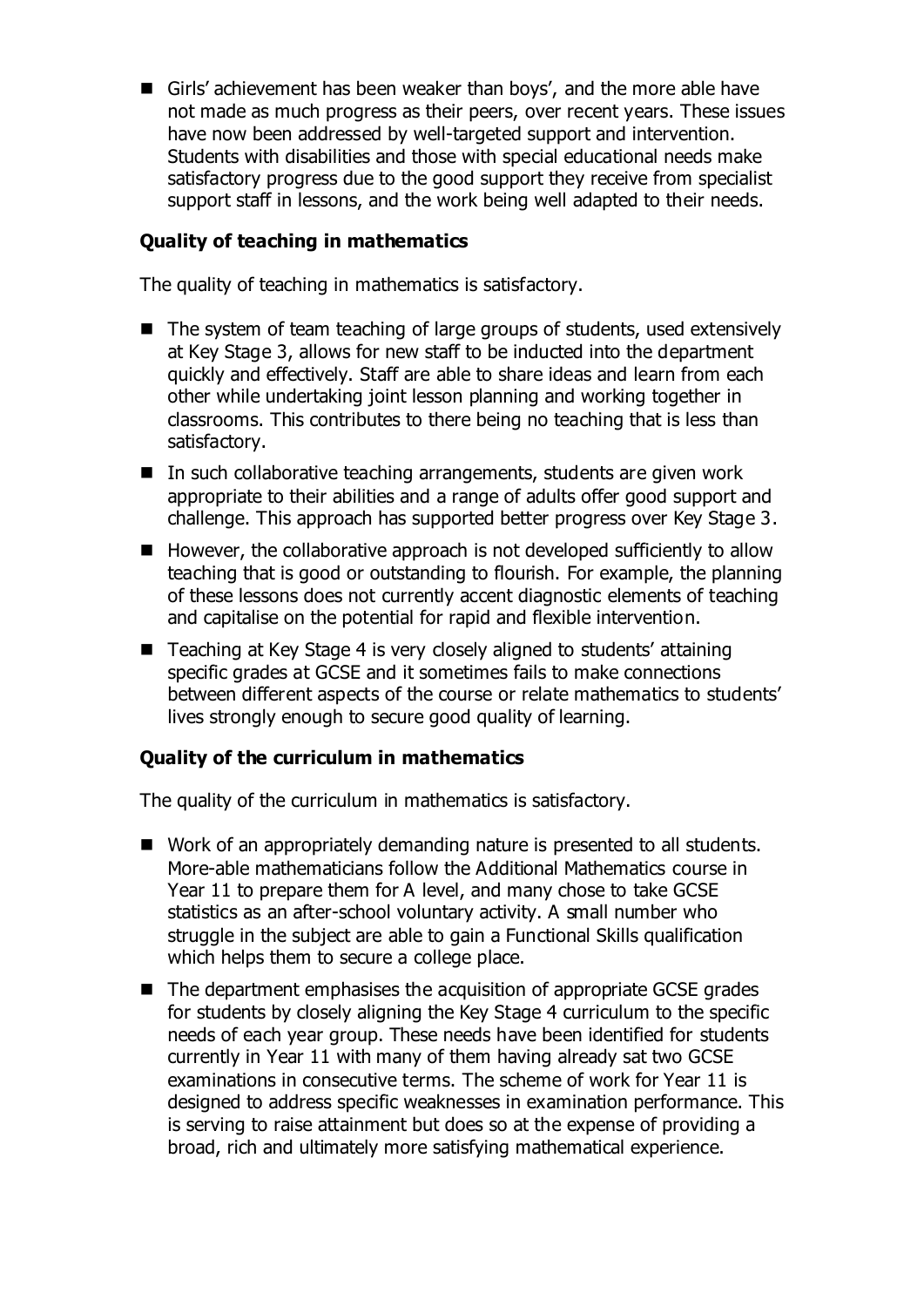Girls' achievement has been weaker than boys', and the more able have not made as much progress as their peers, over recent years. These issues have now been addressed by well-targeted support and intervention. Students with disabilities and those with special educational needs make satisfactory progress due to the good support they receive from specialist support staff in lessons, and the work being well adapted to their needs.

# **Quality of teaching in mathematics**

The quality of teaching in mathematics is satisfactory.

- The system of team teaching of large groups of students, used extensively at Key Stage 3, allows for new staff to be inducted into the department quickly and effectively. Staff are able to share ideas and learn from each other while undertaking joint lesson planning and working together in classrooms. This contributes to there being no teaching that is less than satisfactory.
- In such collaborative teaching arrangements, students are given work appropriate to their abilities and a range of adults offer good support and challenge. This approach has supported better progress over Key Stage 3.
- However, the collaborative approach is not developed sufficiently to allow teaching that is good or outstanding to flourish. For example, the planning of these lessons does not currently accent diagnostic elements of teaching and capitalise on the potential for rapid and flexible intervention.
- Teaching at Key Stage 4 is very closely aligned to students' attaining specific grades at GCSE and it sometimes fails to make connections between different aspects of the course or relate mathematics to students' lives strongly enough to secure good quality of learning.

### **Quality of the curriculum in mathematics**

The quality of the curriculum in mathematics is satisfactory.

- Work of an appropriately demanding nature is presented to all students. More-able mathematicians follow the Additional Mathematics course in Year 11 to prepare them for A level, and many chose to take GCSE statistics as an after-school voluntary activity. A small number who struggle in the subject are able to gain a Functional Skills qualification which helps them to secure a college place.
- $\blacksquare$  The department emphasises the acquisition of appropriate GCSE grades for students by closely aligning the Key Stage 4 curriculum to the specific needs of each year group. These needs have been identified for students currently in Year 11 with many of them having already sat two GCSE examinations in consecutive terms. The scheme of work for Year 11 is designed to address specific weaknesses in examination performance. This is serving to raise attainment but does so at the expense of providing a broad, rich and ultimately more satisfying mathematical experience.